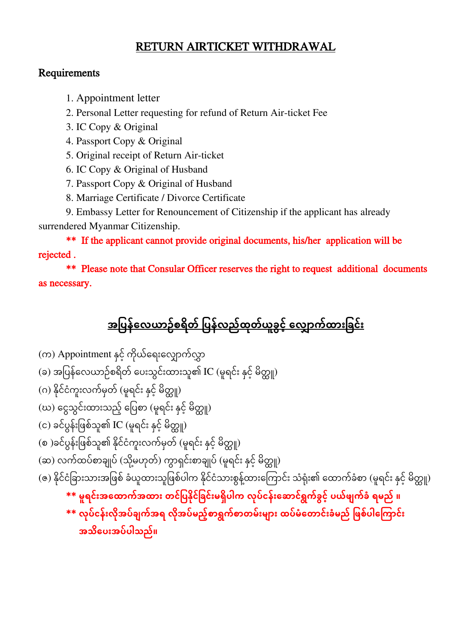## RETURN AIRTICKET WITHDRAWAL

## Requirements

1. Appointment letter

2. Personal Letter requesting for refund of Return Air-ticket Fee

3. IC Copy & Original

4. Passport Copy & Original

5. Original receipt of Return Air-ticket

6. IC Copy & Original of Husband

7. Passport Copy & Original of Husband

8. Marriage Certificate / Divorce Certificate

9. Embassy Letter for Renouncement of Citizenship if the applicant has already surrendered Myanmar Citizenship.

\*\* If the applicant cannot provide original documents, his/her application will be rejected .

\*\* Please note that Consular Officer reserves the right to request additional documents as necessary.

## <u>အပြန်လေယာဉ်စရိတ် ပြန်လည်ထုတ်ယူခွင့် လျှောက်ထားခြင်း</u>

(က) Appointment နှင့် ကိုယ်ရေးလျှောက်လွှာ ှ

(ခ) အပြန်လေယာဉ်စရိတ် ပေးသွင်းထားသူ၏ IC (မူရင်း နှင့် မိတ္တူ) ှ

(ဂ) နိုင်ငံကူးလက်မှတ် (မူရင်း နှင့် မိတ္တူ)  $\ddot{\phantom{0}}$ 

(ဃ) ငွေသွင်းထားသည့် ပြေစာ (မူရင်း နှင့် မိတ္တူ)  $\ddot{\phantom{0}}$ 

(င) ခင်ပွန်းဖြစ်သူ၏ IC (မူရင်း နှင့် မိတ္တူ)  $\ddot{\phantom{0}}$ 

(စ )ခင်ပွန်းဖြစ်သူ၏ နိုင်ငံကူးလက်မှတ် (မူရင်း နှင့် မိတ္တူ)  $\overline{\phantom{a}}$ 

(ဆ) လက်ထပ်စာချုပ် (သို့မဟုတ်) ကွာရှင်းစာချုပ် (မူရင်း နှင့် မိတ္တူ)  $\ddot{\phantom{a}}$  $\ddot{\phantom{0}}$ 

(ဇ) နိုင်ငံခြားသားအဖြစ် ခံယူထားသူဖြစ်ပါက နိုင်ငံသားစွန့်ထားကြောင်း သံရုံး၏ ထောက်ခံစာ (မူရင်း နှင့် မိတ္တူ) ို  $\ddot{\phantom{0}}$ 

 $\ast\ast$  မူရင်းအထောက်အထား တင်ပြနိုင်ခြင်းမရှိပါက လုပ်ငန်းဆောင်ရွက်ခွင့် ပယ်ဖျက်ခံ ရမည် ။

\*\* **ေုြ်ငန်ားေိုအြ်ချက်အရ ေိုအြ်မည့််စာရွက်စာတမ်ားမျာား ထြ်မံလတာင်ားခံမည် ပဖစ်ြါလ ကာင်ား အသိလြားအြ်ြါသည်။**